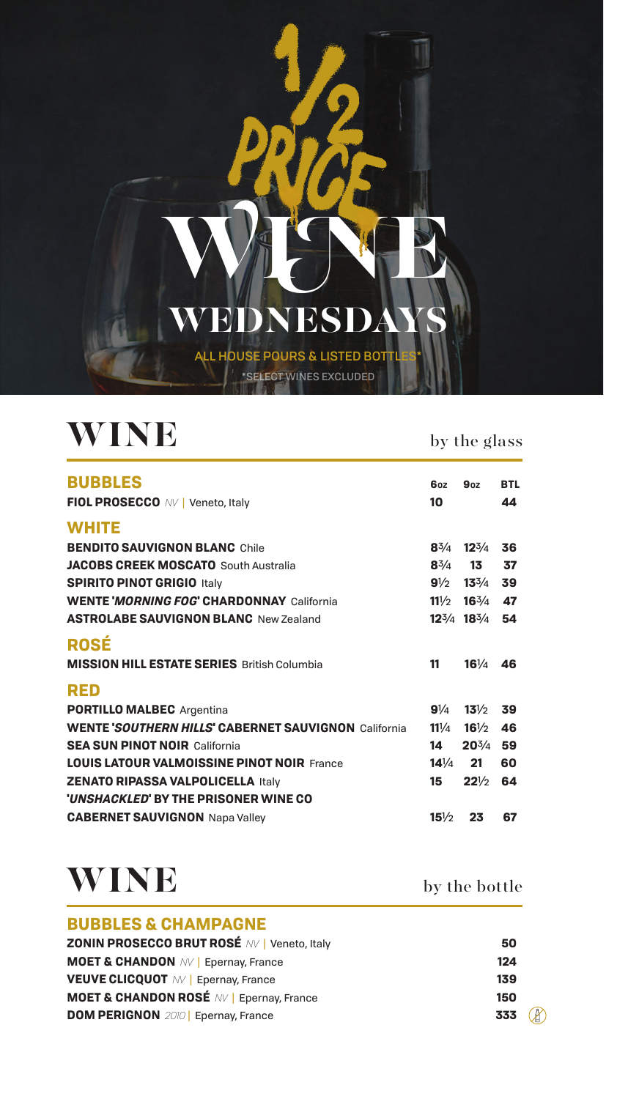# ALL HOUSE POURS & LISTED BOTTLE WISSER **EDNESDAY**

\*SELECT WINES EXCLUDED

**WINE** by the glass

| 602             | 9 <sub>0z</sub> | <b>BTL</b>                                                                                                                                                                                                                                                                                                  |
|-----------------|-----------------|-------------------------------------------------------------------------------------------------------------------------------------------------------------------------------------------------------------------------------------------------------------------------------------------------------------|
| 10              |                 | 44                                                                                                                                                                                                                                                                                                          |
|                 |                 |                                                                                                                                                                                                                                                                                                             |
|                 |                 | 36                                                                                                                                                                                                                                                                                                          |
|                 | 13              | 37                                                                                                                                                                                                                                                                                                          |
|                 |                 |                                                                                                                                                                                                                                                                                                             |
|                 |                 | 47                                                                                                                                                                                                                                                                                                          |
|                 |                 |                                                                                                                                                                                                                                                                                                             |
|                 |                 |                                                                                                                                                                                                                                                                                                             |
| 11              | $16\frac{1}{4}$ | 46                                                                                                                                                                                                                                                                                                          |
|                 |                 |                                                                                                                                                                                                                                                                                                             |
|                 |                 |                                                                                                                                                                                                                                                                                                             |
|                 |                 | 46                                                                                                                                                                                                                                                                                                          |
| 14              |                 |                                                                                                                                                                                                                                                                                                             |
| $14\frac{1}{4}$ | 21              | 60                                                                                                                                                                                                                                                                                                          |
| 15              | $22\frac{1}{2}$ | 64                                                                                                                                                                                                                                                                                                          |
|                 |                 |                                                                                                                                                                                                                                                                                                             |
| $15\frac{1}{2}$ | 23              | 67                                                                                                                                                                                                                                                                                                          |
|                 |                 | $8\frac{3}{4}$ 12 $\frac{3}{4}$<br>$8^{3}/_{4}$<br>$9\frac{1}{2}$ 13 <sup>3</sup> / <sub>4</sub> 39<br>$11\frac{1}{2}$ 16 <sup>3</sup> / <sub>4</sub><br>$12^{3}/4$ 18 <sup>3</sup> / <sub>4</sub> 54<br>$9\frac{1}{4}$ 13 $\frac{1}{2}$ 39<br><b>11</b> $\frac{11}{4}$<br>$16\frac{1}{2}$<br>$20^{3/4}$ 59 |

## **WINE** by the bottle

| <b>BUBBLES &amp; CHAMPAGNE</b>                      |          |
|-----------------------------------------------------|----------|
| ZONIN PROSECCO BRUT ROSÉ NV   Veneto, Italy         | 50       |
| <b>MOET &amp; CHANDON MV   Epernay, France</b>      | 124      |
| <b>VEUVE CLICQUOT</b> MV   Epernay, France          | 139      |
| <b>MOET &amp; CHANDON ROSÉ NV   Epernay, France</b> | 150      |
| <b>DOM PERIGNON</b> 2010 Epernay, France            | 333<br>M |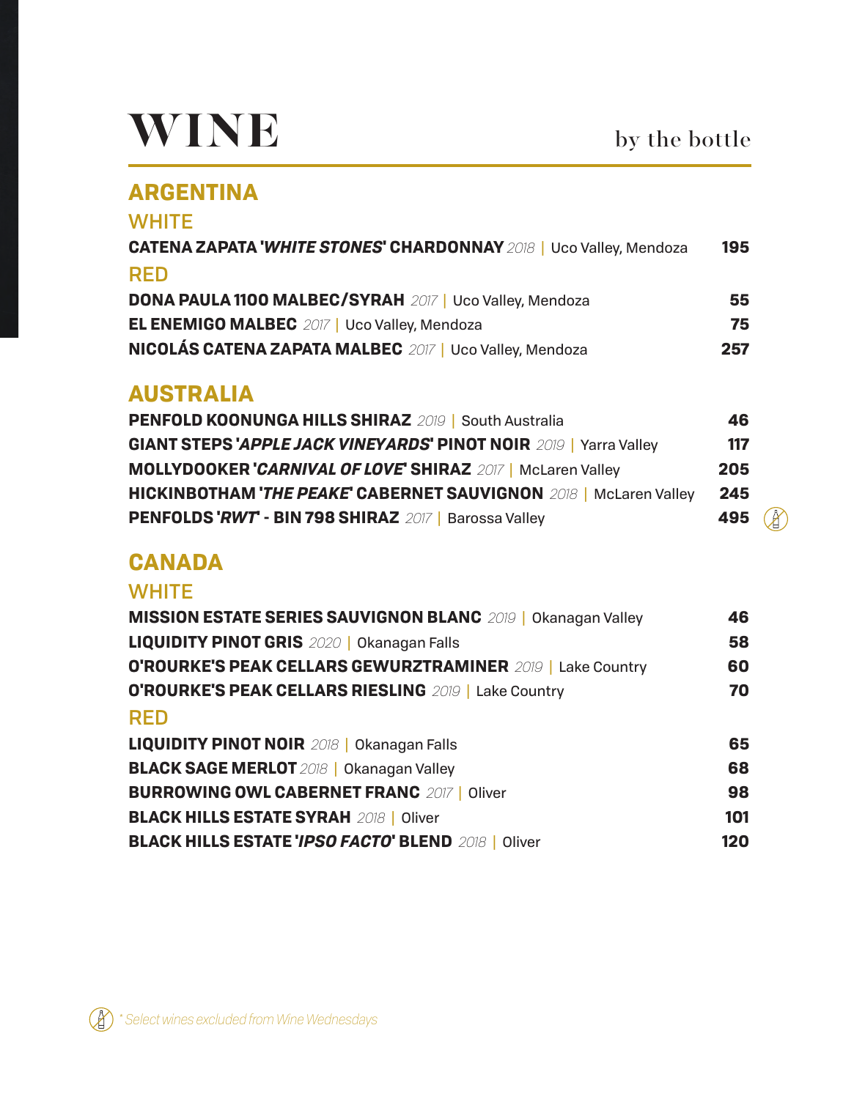### **ARGENTINA**

#### **WHITE**

| <b>CATENA ZAPATA 'WHITE STONES' CHARDONNAY</b> 2018   Uco Vallev. Mendoza | 195 |
|---------------------------------------------------------------------------|-----|
| <b>RED</b>                                                                |     |
| <b>DONA PAULA 1100 MALBEC/SYRAH 2017   Uco Valley, Mendoza</b>            | 55  |
| <b>EL ENEMIGO MALBEC</b> 2017   Uco Vallev. Mendoza                       | 75  |
| NICOLÁS CATENA ZAPATA MALBEC 2017   Uco Valley, Mendoza                   | 257 |

### **AUSTRALIA**

| <b>PENFOLD KOONUNGA HILLS SHIRAZ 2019   South Australia</b>              | 46        |  |
|--------------------------------------------------------------------------|-----------|--|
| <b>GIANT STEPS 'APPLE JACK VINEYARDS' PINOT NOIR 2019   Yarra Valley</b> | 117       |  |
| <b>MOLLYDOOKER 'CARNIVAL OF LOVE' SHIRAZ</b> 2017   McLaren Valley       | 205       |  |
| <b>HICKINBOTHAM 'THE PEAKE' CABERNET SAUVIGNON</b> 2018   McLaren Vallev | 245       |  |
| <b>PENFOLDS 'RWT' - BIN 798 SHIRAZ</b> 2017   Barossa Valley             | 495 $(M)$ |  |

### **CANADA**

#### **WHITE**

| <b>MISSION ESTATE SERIES SAUVIGNON BLANC 2019   Okanagan Valley</b> | 46  |
|---------------------------------------------------------------------|-----|
| LIQUIDITY PINOT GRIS 2020   Okanagan Falls                          | 58  |
| O'ROURKE'S PEAK CELLARS GEWURZTRAMINER 2019   Lake Country          | 60  |
| <b>O'ROURKE'S PEAK CELLARS RIESLING 2019   Lake Country</b>         | 70  |
| <b>RED</b>                                                          |     |
| <b>LIQUIDITY PINOT NOIR 2018   Okanagan Falls</b>                   | 65  |
| <b>BLACK SAGE MERLOT 2018   Okanagan Valley</b>                     | 68  |
| <b>BURROWING OWL CABERNET FRANC 2017   Oliver</b>                   | 98  |
| <b>BLACK HILLS ESTATE SYRAH 2018   Oliver</b>                       | 101 |
| <b>BLACK HILLS ESTATE 'IPSO FACTO' BLEND 2018   Oliver</b>          | 120 |

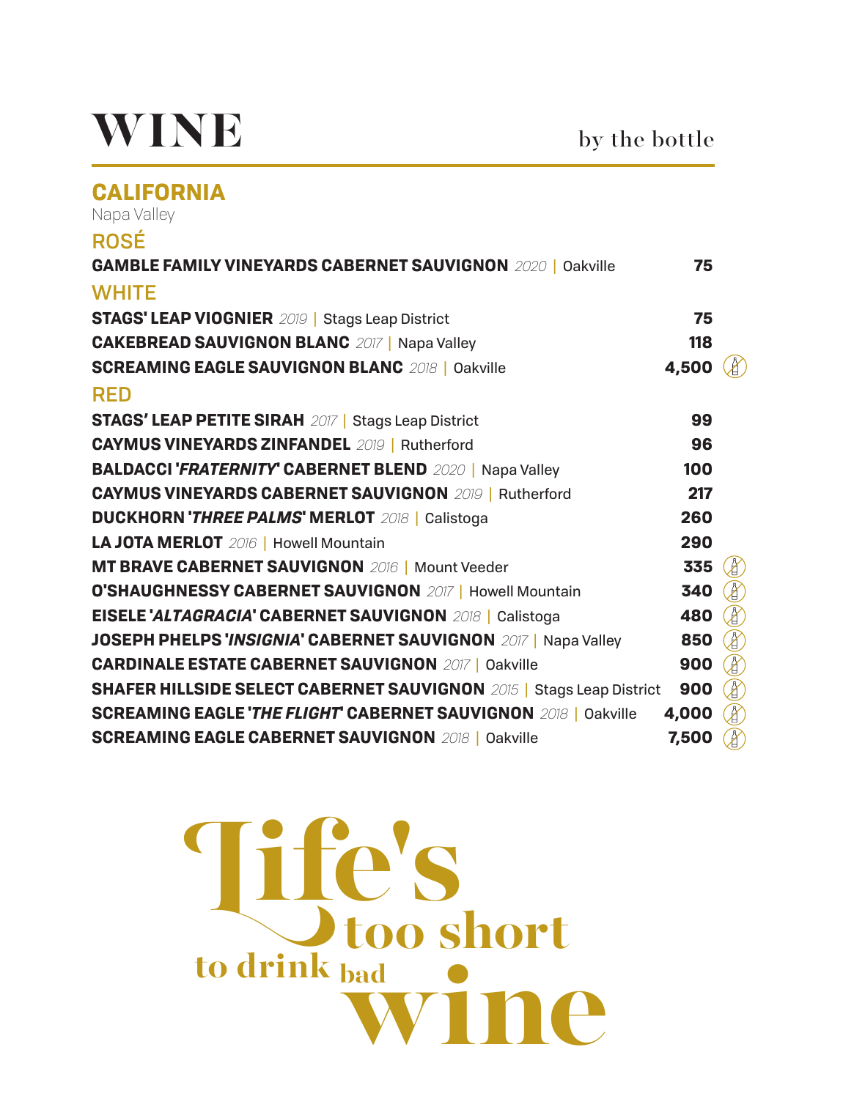| <b>CALIFORNIA</b>                                                           |       |     |
|-----------------------------------------------------------------------------|-------|-----|
| Napa Valley                                                                 |       |     |
| <b>ROSÉ</b>                                                                 |       |     |
| <b>GAMBLE FAMILY VINEYARDS CABERNET SAUVIGNON 2020   Oakville</b>           | 75    |     |
| <b>WHITE</b>                                                                |       |     |
| <b>STAGS' LEAP VIOGNIER</b> 2019   Stags Leap District                      | 75    |     |
| <b>CAKEBREAD SAUVIGNON BLANC 2017   Napa Valley</b>                         | 118   |     |
| <b>SCREAMING EAGLE SAUVIGNON BLANC 2018   Oakville</b>                      | 4,500 |     |
| <b>RFD</b>                                                                  |       |     |
| <b>STAGS' LEAP PETITE SIRAH 2017   Stags Leap District</b>                  | 99    |     |
| <b>CAYMUS VINEYARDS ZINFANDEL 2019   Rutherford</b>                         | 96    |     |
| <b>BALDACCI 'FRATERNITY' CABERNET BLEND 2020   Napa Valley</b>              | 100   |     |
| <b>CAYMUS VINEYARDS CABERNET SAUVIGNON 2019   Rutherford</b>                | 217   |     |
| <b>DUCKHORN 'THREE PALMS' MERLOT</b> 2018   Calistoga                       | 260   |     |
| LA JOTA MERLOT 2016   Howell Mountain                                       | 290   |     |
| <b>MT BRAVE CABERNET SAUVIGNON 2016   Mount Veeder</b>                      | 335   | め   |
| <b>O'SHAUGHNESSY CABERNET SAUVIGNON 2017   Howell Mountain</b>              | 340   | K)  |
| EISELE 'ALTAGRACIA' CABERNET SAUVIGNON 2018   Calistoga                     | 480   | ℬ   |
| JOSEPH PHELPS 'INSIGNIA' CABERNET SAUVIGNON 2017   Napa Valley              | 850   | B)  |
| <b>CARDINALE ESTATE CABERNET SAUVIGNON 2017   Oakville</b>                  | 900   | B   |
| <b>SHAFER HILLSIDE SELECT CABERNET SAUVIGNON</b> 2015   Stags Leap District | 900   | (20 |
| <b>SCREAMING EAGLE 'THE FLIGHT' CABERNET SAUVIGNON 2018   Oakville</b>      | 4,000 | ℬ   |
| <b>SCREAMING EAGLE CABERNET SAUVIGNON 2018   Oakville</b>                   | 7.500 | B)  |

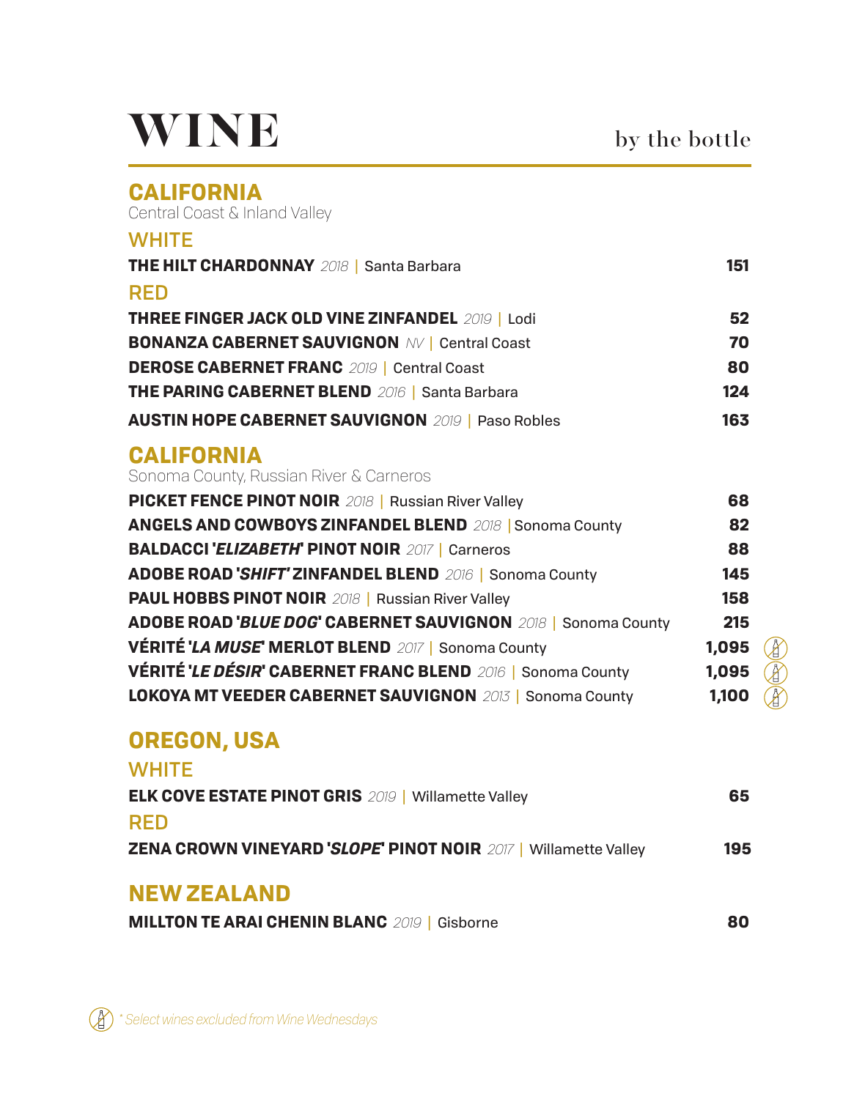#### **CALIFORNIA** Central Coast & Inland Valley

| <b>WHITE</b>                                             |     |
|----------------------------------------------------------|-----|
| <b>THE HILT CHARDONNAY</b> 2018   Santa Barbara          | 151 |
| <b>RED</b>                                               |     |
| <b>THREE FINGER JACK OLD VINE ZINFANDEL 2019   Lodi</b>  | 52  |
| <b>BONANZA CABERNET SAUVIGNON MV   Central Coast</b>     | 70  |
| <b>DEROSE CABERNET FRANC 2019   Central Coast</b>        | 80  |
| <b>THE PARING CABERNET BLEND 2016   Santa Barbara</b>    | 124 |
| <b>AUSTIN HOPE CABERNET SAUVIGNON 2019   Paso Robles</b> | 163 |

### **CALIFORNIA**

Sonoma County, Russian River & Carneros

| <b>PICKET FENCE PINOT NOIR 2018   Russian River Valley</b>      | 68    |   |
|-----------------------------------------------------------------|-------|---|
| <b>ANGELS AND COWBOYS ZINFANDEL BLEND 2018   Sonoma County</b>  | 82    |   |
| <b>BALDACCI 'ELIZABETH' PINOT NOIR 2017   Carneros</b>          | 88    |   |
| <b>ADOBE ROAD 'SHIFT' ZINFANDEL BLEND 2016   Sonoma County</b>  | 145   |   |
| <b>PAUL HOBBS PINOT NOIR</b> 2018   Russian River Valley        | 158   |   |
| ADOBE ROAD 'BLUE DOG' CABERNET SAUVIGNON 2018   Sonoma County   | 215   |   |
| VÉRITÉ 'LA MUSE' MERLOT BLEND 2017   Sonoma County              | 1,095 |   |
| VÉRITÉ 'LE DÉSIR' CABERNET FRANC BLEND 2016   Sonoma County     | 1.095 | ∦ |
| <b>LOKOYA MT VEEDER CABERNET SAUVIGNON 2013   Sonoma County</b> | 1.100 |   |

### **OREGON, USA**

| <b>WHITE</b>                                                           |     |
|------------------------------------------------------------------------|-----|
| <b>ELK COVE ESTATE PINOT GRIS 2019   Willamette Valley</b>             | 65  |
| <b>RED</b>                                                             |     |
| <b>ZENA CROWN VINEYARD 'SLOPE' PINOT NOIR</b> 2017   Willamette Valley | 195 |
|                                                                        |     |
| <b>NEW ZEALAND</b>                                                     |     |
| <b>MILLTON TE ARAI CHENIN BLANC 2019   Gisborne</b>                    | 80  |

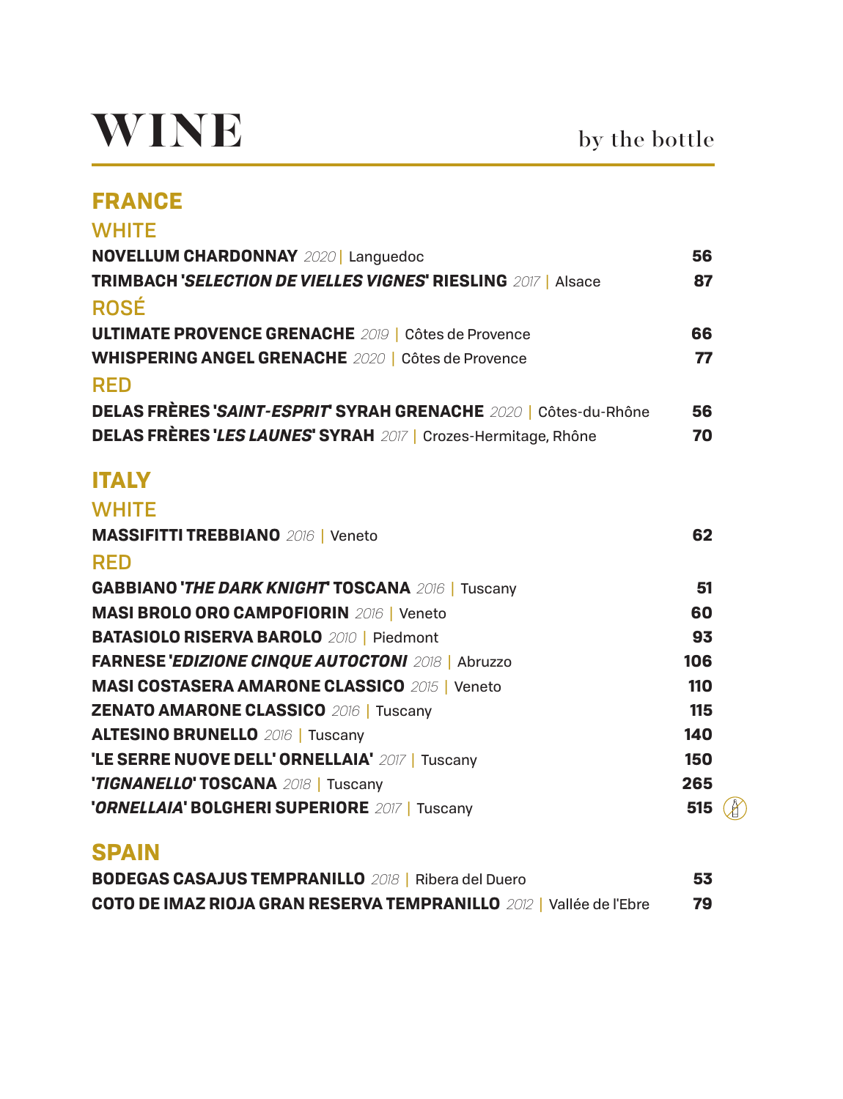| <b>FRANCE</b>                                                        |     |    |
|----------------------------------------------------------------------|-----|----|
| <b>WHITE</b>                                                         |     |    |
| <b>NOVELLUM CHARDONNAY</b> 2020   Languedoc                          | 56  |    |
| <b>TRIMBACH 'SELECTION DE VIELLES VIGNES' RIESLING 2017   Alsace</b> | 87  |    |
| <b>ROSÉ</b>                                                          |     |    |
| <b>ULTIMATE PROVENCE GRENACHE 2019   Côtes de Provence</b>           | 66  |    |
| <b>WHISPERING ANGEL GRENACHE 2020   Côtes de Provence</b>            | 77  |    |
| <b>RED</b>                                                           |     |    |
| DELAS FRÈRES 'SAINT-ESPRIT' SYRAH GRENACHE 2020   Côtes-du-Rhône     | 56  |    |
| DELAS FRÈRES 'LES LAUNES' SYRAH 2017   Crozes-Hermitage, Rhône       | 70  |    |
| <b>ITALY</b>                                                         |     |    |
| <b>WHITE</b>                                                         |     |    |
| <b>MASSIFITTI TREBBIANO 2016   Veneto</b>                            | 62  |    |
| <b>RFD</b>                                                           |     |    |
| <b>GABBIANO 'THE DARK KNIGHT' TOSCANA 2016   Tuscany</b>             | 51  |    |
| MASI BROLO ORO CAMPOFIORIN 2016   Veneto                             | 60  |    |
| <b>BATASIOLO RISERVA BAROLO 2010   Piedmont</b>                      | 93  |    |
| FARNESE 'EDIZIONE CINQUE AUTOCTONI 2018   Abruzzo                    | 106 |    |
| MASI COSTASERA AMARONE CLASSICO 2015   Veneto                        | 110 |    |
| <b>ZENATO AMARONE CLASSICO 2016   Tuscany</b>                        | 115 |    |
| <b>ALTESINO BRUNELLO 2016   Tuscany</b>                              | 140 |    |
| 'LE SERRE NUOVE DELL' ORNELLAIA' 2017   Tuscany                      | 150 |    |
| <b>TIGNANELLO' TOSCANA 2018   Tuscany</b>                            | 265 |    |
| 'ORNELLAIA' BOLGHERI SUPERIORE 2017   Tuscany                        | 515 | Æ, |

### **SPAIN**

| <b>BODEGAS CASAJUS TEMPRANILLO 2018   Ribera del Duero</b>                 | 53 |
|----------------------------------------------------------------------------|----|
| <b>COTO DE IMAZ RIOJA GRAN RESERVA TEMPRANILLO 2012   Vallée de l'Ebre</b> | 79 |